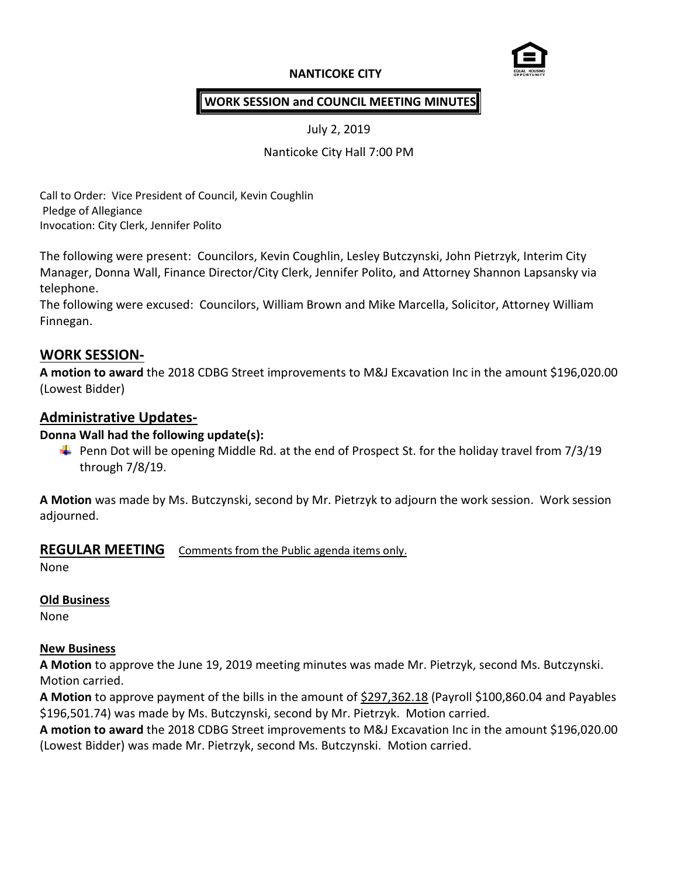# **NANTICOKE CITY**



### **WORK SESSION and COUNCIL MEETING MINUTES**

July 2, 2019

Nanticoke City Hall 7:00 PM

Call to Order: Vice President of Council, Kevin Coughlin Pledge of Allegiance Invocation: City Clerk, Jennifer Polito

The following were present: Councilors, Kevin Coughlin, Lesley Butczynski, John Pietrzyk, Interim City Manager, Donna Wall, Finance Director/City Clerk, Jennifer Polito, and Attorney Shannon Lapsansky via telephone.

The following were excused: Councilors, William Brown and Mike Marcella, Solicitor, Attorney William Finnegan.

## **WORK SESSION-**

**A motion to award** the 2018 CDBG Street improvements to M&J Excavation Inc in the amount \$196,020.00 (Lowest Bidder)

## **Administrative Updates-**

### **Donna Wall had the following update(s):**

 $\ddot{+}$  Penn Dot will be opening Middle Rd. at the end of Prospect St. for the holiday travel from 7/3/19 through 7/8/19.

**A Motion** was made by Ms. Butczynski, second by Mr. Pietrzyk to adjourn the work session. Work session adjourned.

## **REGULAR MEETING** Comments from the Public agenda items only.

None

### **Old Business**

None

### **New Business**

**A Motion** to approve the June 19, 2019 meeting minutes was made Mr. Pietrzyk, second Ms. Butczynski. Motion carried.

**A Motion** to approve payment of the bills in the amount of \$297,362.18 (Payroll \$100,860.04 and Payables \$196,501.74) was made by Ms. Butczynski, second by Mr. Pietrzyk. Motion carried.

**A motion to award** the 2018 CDBG Street improvements to M&J Excavation Inc in the amount \$196,020.00 (Lowest Bidder) was made Mr. Pietrzyk, second Ms. Butczynski. Motion carried.